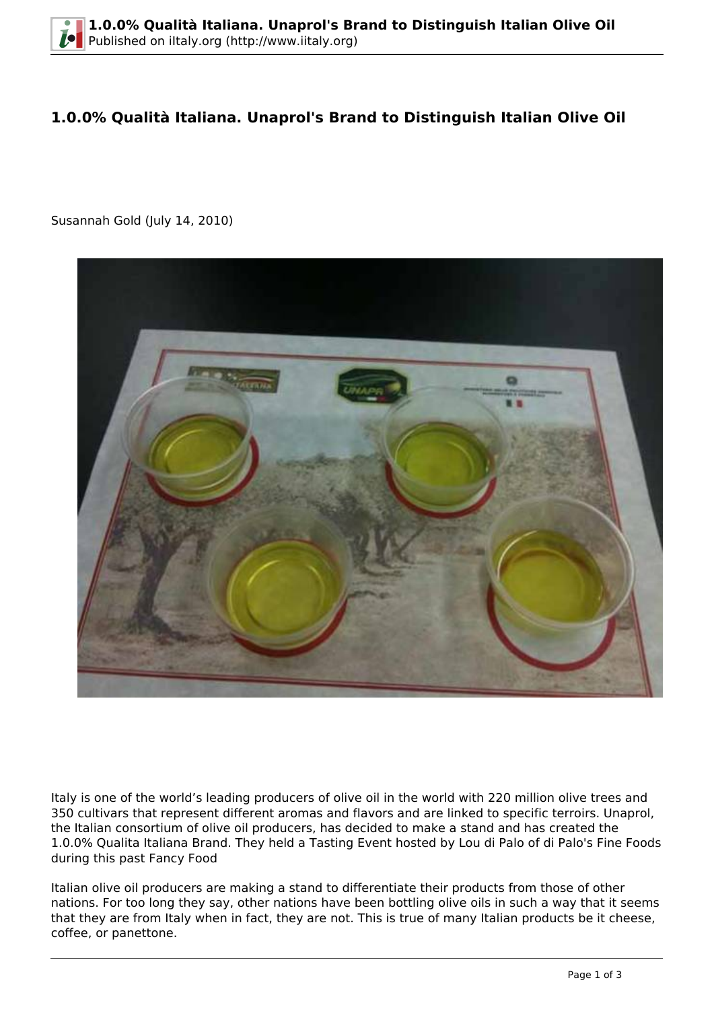## **1.0.0% Qualità Italiana. Unaprol's Brand to Distinguish Italian Olive Oil**

Susannah Gold (July 14, 2010)



Italy is one of the world's leading producers of olive oil in the world with 220 million olive trees and 350 cultivars that represent different aromas and flavors and are linked to specific terroirs. Unaprol, the Italian consortium of olive oil producers, has decided to make a stand and has created the 1.0.0% Qualita Italiana Brand. They held a Tasting Event hosted by Lou di Palo of di Palo's Fine Foods during this past Fancy Food

Italian olive oil producers are making a stand to differentiate their products from those of other nations. For too long they say, other nations have been bottling olive oils in such a way that it seems that they are from Italy when in fact, they are not. This is true of many Italian products be it cheese, coffee, or panettone.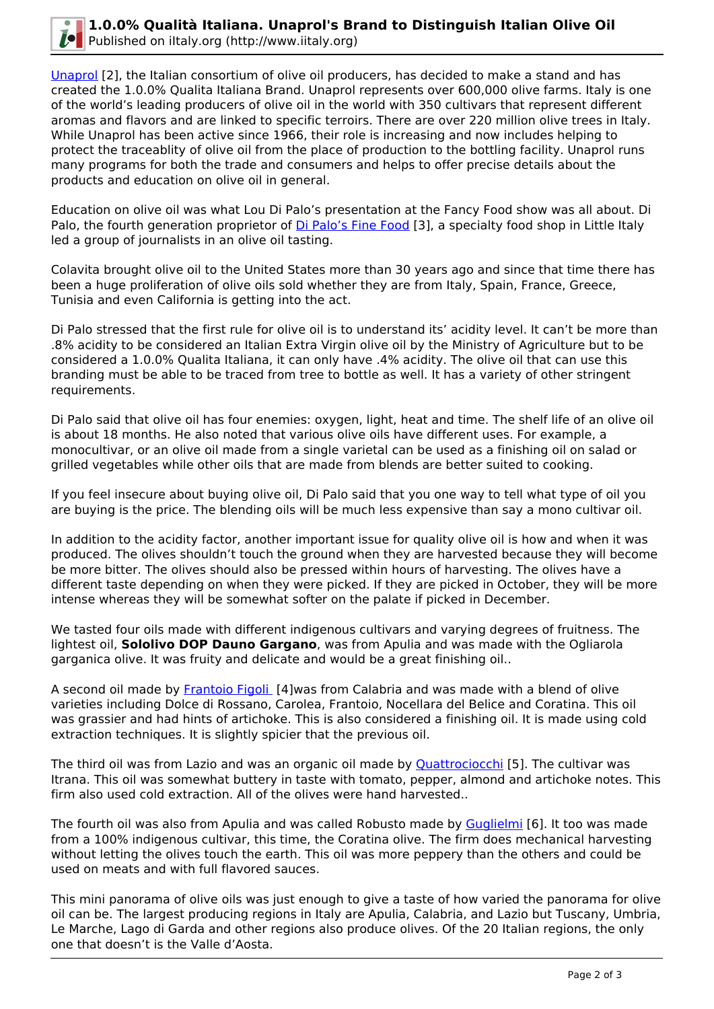

[Unaprol](http://www.unaprol.it) [2], the Italian consortium of olive oil producers, has decided to make a stand and has created the 1.0.0% Qualita Italiana Brand. Unaprol represents over 600,000 olive farms. Italy is one of the world's leading producers of olive oil in the world with 350 cultivars that represent different aromas and flavors and are linked to specific terroirs. There are over 220 million olive trees in Italy. While Unaprol has been active since 1966, their role is increasing and now includes helping to protect the traceablity of olive oil from the place of production to the bottling facility. Unaprol runs many programs for both the trade and consumers and helps to offer precise details about the products and education on olive oil in general.

Education on olive oil was what Lou Di Palo's presentation at the Fancy Food show was all about. Di Palo, the fourth generation proprietor of *Di Palo's Fine Food* [3], a specialty food shop in Little Italy led a group of journalists in an olive oil tasting.

Colavita brought olive oil to the United States more than 30 years ago and since that time there has been a huge proliferation of olive oils sold whether they are from Italy, Spain, France, Greece, Tunisia and even California is getting into the act.

Di Palo stressed that the first rule for olive oil is to understand its' acidity level. It can't be more than .8% acidity to be considered an Italian Extra Virgin olive oil by the Ministry of Agriculture but to be considered a 1.0.0% Qualita Italiana, it can only have .4% acidity. The olive oil that can use this branding must be able to be traced from tree to bottle as well. It has a variety of other stringent requirements.

Di Palo said that olive oil has four enemies: oxygen, light, heat and time. The shelf life of an olive oil is about 18 months. He also noted that various olive oils have different uses. For example, a monocultivar, or an olive oil made from a single varietal can be used as a finishing oil on salad or grilled vegetables while other oils that are made from blends are better suited to cooking.

If you feel insecure about buying olive oil, Di Palo said that you one way to tell what type of oil you are buying is the price. The blending oils will be much less expensive than say a mono cultivar oil.

In addition to the acidity factor, another important issue for quality olive oil is how and when it was produced. The olives shouldn't touch the ground when they are harvested because they will become be more bitter. The olives should also be pressed within hours of harvesting. The olives have a different taste depending on when they were picked. If they are picked in October, they will be more intense whereas they will be somewhat softer on the palate if picked in December.

We tasted four oils made with different indigenous cultivars and varying degrees of fruitness. The lightest oil, **Sololivo DOP Dauno Gargano**, was from Apulia and was made with the Ogliarola garganica olive. It was fruity and delicate and would be a great finishing oil..

A second oil made by [Frantoio Figoli](http://www.frantoiofigoli.it) [4]was from Calabria and was made with a blend of olive varieties including Dolce di Rossano, Carolea, Frantoio, Nocellara del Belice and Coratina. This oil was grassier and had hints of artichoke. This is also considered a finishing oil. It is made using cold extraction techniques. It is slightly spicier that the previous oil.

The third oil was from Lazio and was an organic oil made by **Quattrociocchi** [5]. The cultivar was Itrana. This oil was somewhat buttery in taste with tomato, pepper, almond and artichoke notes. This firm also used cold extraction. All of the olives were hand harvested..

The fourth oil was also from Apulia and was called Robusto made by [Guglielmi](http://www.olioguglielmi.it) [6]. It too was made from a 100% indigenous cultivar, this time, the Coratina olive. The firm does mechanical harvesting without letting the olives touch the earth. This oil was more peppery than the others and could be used on meats and with full flavored sauces.

This mini panorama of olive oils was just enough to give a taste of how varied the panorama for olive oil can be. The largest producing regions in Italy are Apulia, Calabria, and Lazio but Tuscany, Umbria, Le Marche, Lago di Garda and other regions also produce olives. Of the 20 Italian regions, the only one that doesn't is the Valle d'Aosta.